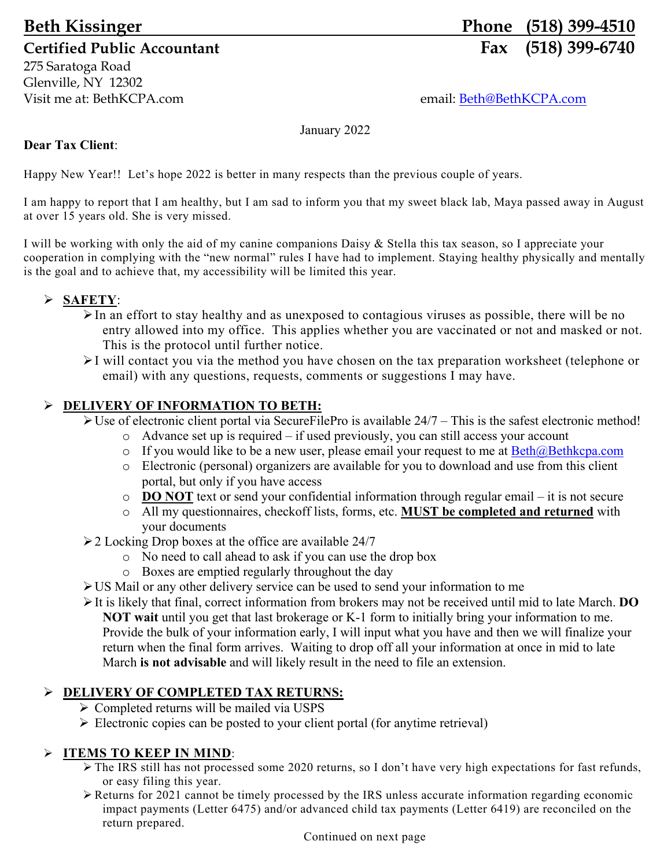275 Saratoga Road Glenville, NY 12302 Visit me at: BethKCPA.com email: Beth@BethKCPA.com

# **Beth Kissinger Phone (518) 399-4510** Certified Public Accountant **Fax** (518) 399-6740

January 2022

## **Dear Tax Client**:

Happy New Year!! Let's hope 2022 is better in many respects than the previous couple of years.

I am happy to report that I am healthy, but I am sad to inform you that my sweet black lab, Maya passed away in August at over 15 years old. She is very missed.

I will be working with only the aid of my canine companions Daisy & Stella this tax season, so I appreciate your cooperation in complying with the "new normal" rules I have had to implement. Staying healthy physically and mentally is the goal and to achieve that, my accessibility will be limited this year.

# **SAFETY**:

- $\triangleright$  In an effort to stay healthy and as unexposed to contagious viruses as possible, there will be no entry allowed into my office. This applies whether you are vaccinated or not and masked or not. This is the protocol until further notice.
- I will contact you via the method you have chosen on the tax preparation worksheet (telephone or email) with any questions, requests, comments or suggestions I may have.

### **DELIVERY OF INFORMATION TO BETH:**

 $\triangleright$  Use of electronic client portal via SecureFilePro is available 24/7 – This is the safest electronic method!

- o Advance set up is required if used previously, you can still access your account
- o If you would like to be a new user, please email your request to me at  $\frac{Beth@Bethkcpa.com}{Bethkcpa.com}$
- o Electronic (personal) organizers are available for you to download and use from this client portal, but only if you have access
- o **DO NOT** text or send your confidential information through regular email it is not secure
- o All my questionnaires, checkoff lists, forms, etc. **MUST be completed and returned** with your documents
- $\geq$  2 Locking Drop boxes at the office are available 24/7
	- o No need to call ahead to ask if you can use the drop box
	- o Boxes are emptied regularly throughout the day
- US Mail or any other delivery service can be used to send your information to me
- It is likely that final, correct information from brokers may not be received until mid to late March. **DO NOT wait** until you get that last brokerage or K-1 form to initially bring your information to me. Provide the bulk of your information early, I will input what you have and then we will finalize your return when the final form arrives. Waiting to drop off all your information at once in mid to late March **is not advisable** and will likely result in the need to file an extension.

# **DELIVERY OF COMPLETED TAX RETURNS:**

- Completed returns will be mailed via USPS
- $\triangleright$  Electronic copies can be posted to your client portal (for anytime retrieval)

# **ITEMS TO KEEP IN MIND**:

- $\triangleright$  The IRS still has not processed some 2020 returns, so I don't have very high expectations for fast refunds, or easy filing this year.
- Returns for 2021 cannot be timely processed by the IRS unless accurate information regarding economic impact payments (Letter 6475) and/or advanced child tax payments (Letter 6419) are reconciled on the return prepared.

Continued on next page